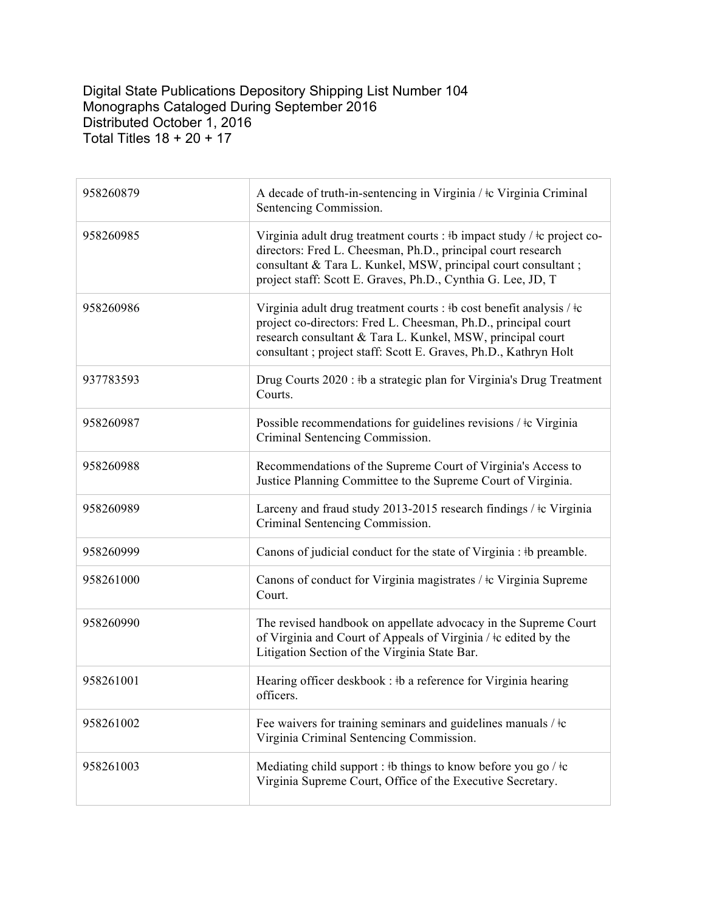Digital State Publications Depository Shipping List Number 104 Monographs Cataloged During September 2016 Distributed October 1, 2016 Total Titles 18 + 20 + 17

| 958260879 | A decade of truth-in-sentencing in Virginia / $\pm c$ Virginia Criminal<br>Sentencing Commission.                                                                                                                                                                                                |
|-----------|--------------------------------------------------------------------------------------------------------------------------------------------------------------------------------------------------------------------------------------------------------------------------------------------------|
| 958260985 | Virginia adult drug treatment courts : $\frac{1}{2}$ impact study / $\frac{1}{2}$ c project co-<br>directors: Fred L. Cheesman, Ph.D., principal court research<br>consultant & Tara L. Kunkel, MSW, principal court consultant;<br>project staff: Scott E. Graves, Ph.D., Cynthia G. Lee, JD, T |
| 958260986 | Virginia adult drug treatment courts : #b cost benefit analysis / $\pm c$<br>project co-directors: Fred L. Cheesman, Ph.D., principal court<br>research consultant & Tara L. Kunkel, MSW, principal court<br>consultant ; project staff: Scott E. Graves, Ph.D., Kathryn Holt                    |
| 937783593 | Drug Courts 2020 : #b a strategic plan for Virginia's Drug Treatment<br>Courts.                                                                                                                                                                                                                  |
| 958260987 | Possible recommendations for guidelines revisions / ‡c Virginia<br>Criminal Sentencing Commission.                                                                                                                                                                                               |
| 958260988 | Recommendations of the Supreme Court of Virginia's Access to<br>Justice Planning Committee to the Supreme Court of Virginia.                                                                                                                                                                     |
| 958260989 | Larceny and fraud study 2013-2015 research findings / ‡c Virginia<br>Criminal Sentencing Commission.                                                                                                                                                                                             |
| 958260999 | Canons of judicial conduct for the state of Virginia : #b preamble.                                                                                                                                                                                                                              |
| 958261000 | Canons of conduct for Virginia magistrates / ‡c Virginia Supreme<br>Court.                                                                                                                                                                                                                       |
| 958260990 | The revised handbook on appellate advocacy in the Supreme Court<br>of Virginia and Court of Appeals of Virginia / ‡c edited by the<br>Litigation Section of the Virginia State Bar.                                                                                                              |
| 958261001 | Hearing officer deskbook: #b a reference for Virginia hearing<br>officers.                                                                                                                                                                                                                       |
| 958261002 | Fee waivers for training seminars and guidelines manuals / $\pm c$<br>Virginia Criminal Sentencing Commission.                                                                                                                                                                                   |
| 958261003 | Mediating child support : #b things to know before you go / $\pm c$<br>Virginia Supreme Court, Office of the Executive Secretary.                                                                                                                                                                |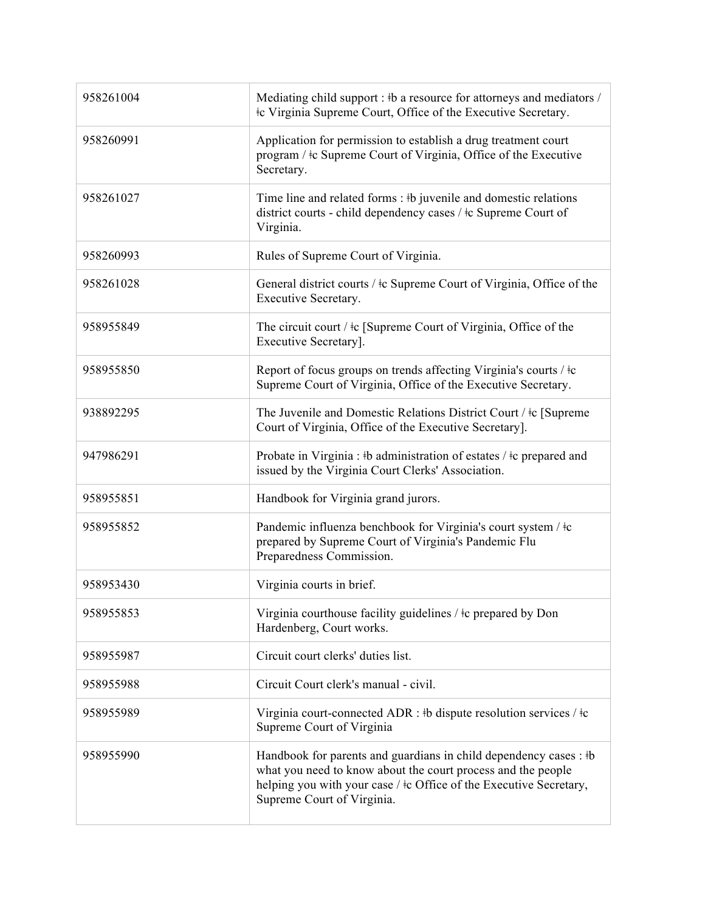| 958261004 | Mediating child support : #b a resource for attorneys and mediators /<br>#c Virginia Supreme Court, Office of the Executive Secretary.                                                                                                     |
|-----------|--------------------------------------------------------------------------------------------------------------------------------------------------------------------------------------------------------------------------------------------|
| 958260991 | Application for permission to establish a drug treatment court<br>program / ‡c Supreme Court of Virginia, Office of the Executive<br>Secretary.                                                                                            |
| 958261027 | Time line and related forms : #b juvenile and domestic relations<br>district courts - child dependency cases / $\pm c$ Supreme Court of<br>Virginia.                                                                                       |
| 958260993 | Rules of Supreme Court of Virginia.                                                                                                                                                                                                        |
| 958261028 | General district courts / $\pm c$ Supreme Court of Virginia, Office of the<br>Executive Secretary.                                                                                                                                         |
| 958955849 | The circuit court / $\pm c$ [Supreme Court of Virginia, Office of the<br>Executive Secretary].                                                                                                                                             |
| 958955850 | Report of focus groups on trends affecting Virginia's courts / ‡c<br>Supreme Court of Virginia, Office of the Executive Secretary.                                                                                                         |
| 938892295 | The Juvenile and Domestic Relations District Court / ‡c [Supreme]<br>Court of Virginia, Office of the Executive Secretary].                                                                                                                |
| 947986291 | Probate in Virginia : #b administration of estates / $\pm c$ prepared and<br>issued by the Virginia Court Clerks' Association.                                                                                                             |
| 958955851 | Handbook for Virginia grand jurors.                                                                                                                                                                                                        |
| 958955852 | Pandemic influenza benchbook for Virginia's court system / ‡c<br>prepared by Supreme Court of Virginia's Pandemic Flu<br>Preparedness Commission.                                                                                          |
| 958953430 | Virginia courts in brief.                                                                                                                                                                                                                  |
| 958955853 | Virginia courthouse facility guidelines $/$ ‡c prepared by Don<br>Hardenberg, Court works.                                                                                                                                                 |
| 958955987 | Circuit court clerks' duties list.                                                                                                                                                                                                         |
| 958955988 | Circuit Court clerk's manual - civil.                                                                                                                                                                                                      |
| 958955989 | Virginia court-connected ADR : #b dispute resolution services / $\pm c$<br>Supreme Court of Virginia                                                                                                                                       |
| 958955990 | Handbook for parents and guardians in child dependency cases : #b<br>what you need to know about the court process and the people<br>helping you with your case / $\pm$ c Office of the Executive Secretary,<br>Supreme Court of Virginia. |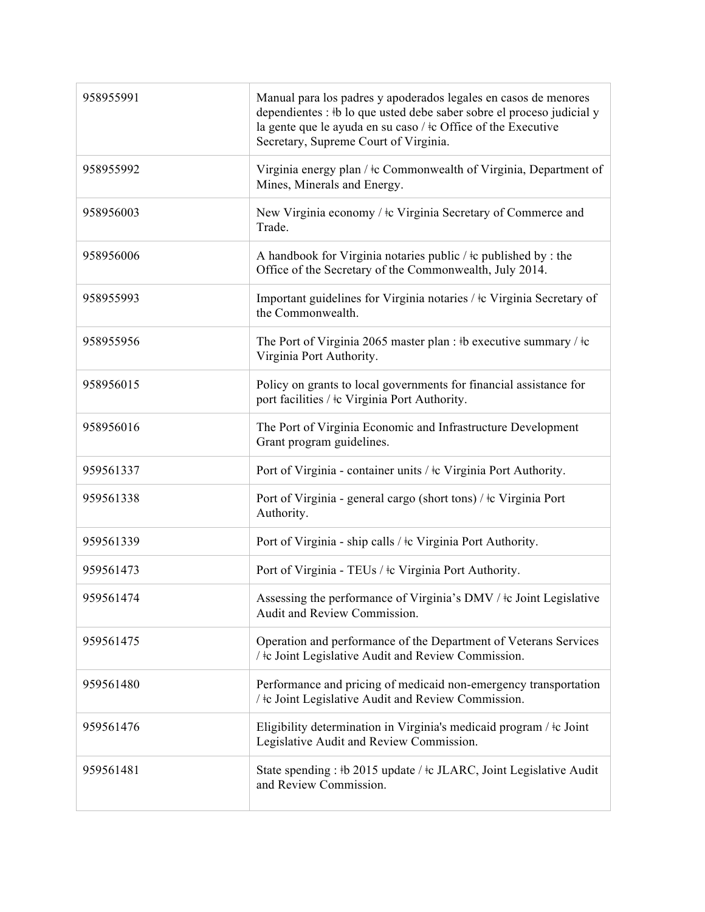| 958955991 | Manual para los padres y apoderados legales en casos de menores<br>dependientes : #b lo que usted debe saber sobre el proceso judicial y<br>la gente que le ayuda en su caso / ‡c Office of the Executive<br>Secretary, Supreme Court of Virginia. |
|-----------|----------------------------------------------------------------------------------------------------------------------------------------------------------------------------------------------------------------------------------------------------|
| 958955992 | Virginia energy plan / $\pm c$ Commonwealth of Virginia, Department of<br>Mines, Minerals and Energy.                                                                                                                                              |
| 958956003 | New Virginia economy / ‡c Virginia Secretary of Commerce and<br>Trade.                                                                                                                                                                             |
| 958956006 | A handbook for Virginia notaries public / $\pm$ c published by : the<br>Office of the Secretary of the Commonwealth, July 2014.                                                                                                                    |
| 958955993 | Important guidelines for Virginia notaries / ‡c Virginia Secretary of<br>the Commonwealth.                                                                                                                                                         |
| 958955956 | The Port of Virginia 2065 master plan : #b executive summary / $\pm c$<br>Virginia Port Authority.                                                                                                                                                 |
| 958956015 | Policy on grants to local governments for financial assistance for<br>port facilities / $\frac{1}{k}$ Virginia Port Authority.                                                                                                                     |
| 958956016 | The Port of Virginia Economic and Infrastructure Development<br>Grant program guidelines.                                                                                                                                                          |
| 959561337 | Port of Virginia - container units / ‡c Virginia Port Authority.                                                                                                                                                                                   |
| 959561338 | Port of Virginia - general cargo (short tons) / ‡c Virginia Port<br>Authority.                                                                                                                                                                     |
| 959561339 | Port of Virginia - ship calls / $\pm c$ Virginia Port Authority.                                                                                                                                                                                   |
| 959561473 | Port of Virginia - TEUs / $\pm c$ Virginia Port Authority.                                                                                                                                                                                         |
| 959561474 | Assessing the performance of Virginia's DMV / ‡c Joint Legislative<br>Audit and Review Commission.                                                                                                                                                 |
| 959561475 | Operation and performance of the Department of Veterans Services<br>/ $\pm$ c Joint Legislative Audit and Review Commission.                                                                                                                       |
| 959561480 | Performance and pricing of medicaid non-emergency transportation<br>/ ‡c Joint Legislative Audit and Review Commission.                                                                                                                            |
| 959561476 | Eligibility determination in Virginia's medicaid program / ‡c Joint<br>Legislative Audit and Review Commission.                                                                                                                                    |
| 959561481 | State spending: #b 2015 update / #c JLARC, Joint Legislative Audit<br>and Review Commission.                                                                                                                                                       |